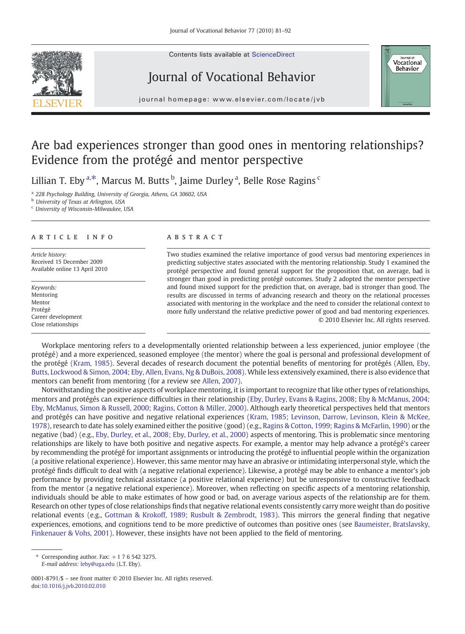Contents lists available at ScienceDirect

## Journal of Vocational Behavior



journal homepage: www.elsevier.com/locate/jvb

# Are bad experiences stronger than good ones in mentoring relationships? Evidence from the protégé and mentor perspective

Lillian T. Eby <sup>a,\*</sup>, Marcus M. Butts <sup>b</sup>, Jaime Durley <sup>a</sup>, Belle Rose Ragins <sup>c</sup>

<sup>a</sup> 228 Psychology Building, University of Georgia, Athens, GA 30602, USA

**b** University of Texas at Arlington, USA

<sup>c</sup> University of Wisconsin-Milwaukee, USA

## article info abstract

Article history: Received 15 December 2009 Available online 13 April 2010

Keywords: Mentoring Mentor Protégé Career development Close relationships

Two studies examined the relative importance of good versus bad mentoring experiences in predicting subjective states associated with the mentoring relationship. Study 1 examined the protégé perspective and found general support for the proposition that, on average, bad is stronger than good in predicting protégé outcomes. Study 2 adopted the mentor perspective and found mixed support for the prediction that, on average, bad is stronger than good. The results are discussed in terms of advancing research and theory on the relational processes associated with mentoring in the workplace and the need to consider the relational context to more fully understand the relative predictive power of good and bad mentoring experiences. © 2010 Elsevier Inc. All rights reserved.

Workplace mentoring refers to a developmentally oriented relationship between a less experienced, junior employee (the protégé) and a more experienced, seasoned employee (the mentor) where the goal is personal and professional development of the protégé ([Kram, 1985](#page--1-0)). Several decades of research document the potential benefits of mentoring for protégés (Allen, [Eby,](#page--1-0) [Butts, Lockwood & Simon, 2004; Eby, Allen, Evans, Ng & DuBois, 2008\)](#page--1-0). While less extensively examined, there is also evidence that mentors can benefit from mentoring (for a review see [Allen, 2007](#page--1-0)).

Notwithstanding the positive aspects of workplace mentoring, it is important to recognize that like other types of relationships, mentors and protégés can experience difficulties in their relationship ([Eby, Durley, Evans & Ragins, 2008; Eby & McManus, 2004;](#page--1-0) [Eby, McManus, Simon & Russell, 2000; Ragins, Cotton & Miller, 2000](#page--1-0)). Although early theoretical perspectives held that mentors and protégés can have positive and negative relational experiences [\(Kram, 1985; Levinson, Darrow, Levinson, Klein & McKee,](#page--1-0) [1978](#page--1-0)), research to date has solely examined either the positive (good) (e.g., [Ragins & Cotton, 1999; Ragins & McFarlin, 1990\)](#page--1-0) or the negative (bad) (e.g., [Eby, Durley, et al., 2008; Eby, Durley, et al., 2000](#page--1-0)) aspects of mentoring. This is problematic since mentoring relationships are likely to have both positive and negative aspects. For example, a mentor may help advance a protégé's career by recommending the protégé for important assignments or introducing the protégé to influential people within the organization (a positive relational experience). However, this same mentor may have an abrasive or intimidating interpersonal style, which the protégé finds difficult to deal with (a negative relational experience). Likewise, a protégé may be able to enhance a mentor's job performance by providing technical assistance (a positive relational experience) but be unresponsive to constructive feedback from the mentor (a negative relational experience). Moreover, when reflecting on specific aspects of a mentoring relationship, individuals should be able to make estimates of how good or bad, on average various aspects of the relationship are for them. Research on other types of close relationships finds that negative relational events consistently carry more weight than do positive relational events (e.g., [Gottman & Krokoff, 1989; Rusbult & Zembrodt, 1983\)](#page--1-0). This mirrors the general finding that negative experiences, emotions, and cognitions tend to be more predictive of outcomes than positive ones (see [Baumeister, Bratslavsky,](#page--1-0) [Finkenauer & Vohs, 2001](#page--1-0)). However, these insights have not been applied to the field of mentoring.

 $*$  Corresponding author. Fax:  $+1765423275$ . E-mail address: [leby@uga.edu](mailto:leby@uga.edu) (L.T. Eby).

<sup>0001-8791/\$</sup> – see front matter © 2010 Elsevier Inc. All rights reserved. doi[:10.1016/j.jvb.2010.02.010](http://dx.doi.org/10.1016/j.jvb.2010.02.010)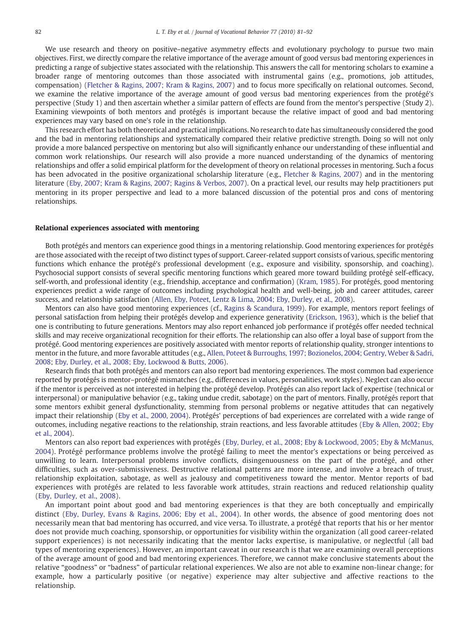We use research and theory on positive–negative asymmetry effects and evolutionary psychology to pursue two main objectives. First, we directly compare the relative importance of the average amount of good versus bad mentoring experiences in predicting a range of subjective states associated with the relationship. This answers the call for mentoring scholars to examine a broader range of mentoring outcomes than those associated with instrumental gains (e.g., promotions, iob attitudes. compensation) [\(Fletcher & Ragins, 2007; Kram & Ragins, 2007\)](#page--1-0) and to focus more specifically on relational outcomes. Second, we examine the relative importance of the average amount of good versus bad mentoring experiences from the protégé's perspective (Study 1) and then ascertain whether a similar pattern of effects are found from the mentor's perspective (Study 2). Examining viewpoints of both mentors and protégés is important because the relative impact of good and bad mentoring experiences may vary based on one's role in the relationship.

This research effort has both theoretical and practical implications. No research to date has simultaneously considered the good and the bad in mentoring relationships and systematically compared their relative predictive strength. Doing so will not only provide a more balanced perspective on mentoring but also will significantly enhance our understanding of these influential and common work relationships. Our research will also provide a more nuanced understanding of the dynamics of mentoring relationships and offer a solid empirical platform for the development of theory on relational processes in mentoring. Such a focus has been advocated in the positive organizational scholarship literature (e.g., [Fletcher & Ragins, 2007](#page--1-0)) and in the mentoring literature [\(Eby, 2007; Kram & Ragins, 2007; Ragins & Verbos, 2007\)](#page--1-0). On a practical level, our results may help practitioners put mentoring in its proper perspective and lead to a more balanced discussion of the potential pros and cons of mentoring relationships.

### Relational experiences associated with mentoring

Both protégés and mentors can experience good things in a mentoring relationship. Good mentoring experiences for protégés are those associated with the receipt of two distinct types of support. Career-related support consists of various, specific mentoring functions which enhance the protégé's professional development (e.g., exposure and visibility, sponsorship, and coaching). Psychosocial support consists of several specific mentoring functions which geared more toward building protégé self-efficacy, self-worth, and professional identity (e.g., friendship, acceptance and confirmation) [\(Kram, 1985](#page--1-0)). For protégés, good mentoring experiences predict a wide range of outcomes including psychological health and well-being, job and career attitudes, career success, and relationship satisfaction [\(Allen, Eby, Poteet, Lentz & Lima, 2004; Eby, Durley, et al., 2008\)](#page--1-0).

Mentors can also have good mentoring experiences (cf., [Ragins & Scandura, 1999](#page--1-0)). For example, mentors report feelings of personal satisfaction from helping their protégés develop and experience generativity ([Erickson, 1963\)](#page--1-0), which is the belief that one is contributing to future generations. Mentors may also report enhanced job performance if protégés offer needed technical skills and may receive organizational recognition for their efforts. The relationship can also offer a loyal base of support from the protégé. Good mentoring experiences are positively associated with mentor reports of relationship quality, stronger intentions to mentor in the future, and more favorable attitudes (e.g., [Allen, Poteet & Burroughs, 1997; Bozionelos, 2004; Gentry, Weber & Sadri,](#page--1-0) [2008](#page--1-0); [Eby, Durley, et al., 2008; Eby, Lockwood & Butts, 2006\)](#page--1-0).

Research finds that both protégés and mentors can also report bad mentoring experiences. The most common bad experience reported by protégés is mentor–protégé mismatches (e.g., differences in values, personalities, work styles). Neglect can also occur if the mentor is perceived as not interested in helping the protégé develop. Protégés can also report lack of expertise (technical or interpersonal) or manipulative behavior (e.g., taking undue credit, sabotage) on the part of mentors. Finally, protégés report that some mentors exhibit general dysfunctionality, stemming from personal problems or negative attitudes that can negatively impact their relationship [\(Eby et al., 2000, 2004](#page--1-0)). Protégés' perceptions of bad experiences are correlated with a wide range of outcomes, including negative reactions to the relationship, strain reactions, and less favorable attitudes [\(Eby & Allen, 2002; Eby](#page--1-0) [et al., 2004](#page--1-0)).

Mentors can also report bad experiences with protégés ([Eby, Durley, et al., 2008; Eby & Lockwood, 2005; Eby & McManus,](#page--1-0) [2004\)](#page--1-0). Protégé performance problems involve the protégé failing to meet the mentor's expectations or being perceived as unwilling to learn. Interpersonal problems involve conflicts, disingenuousness on the part of the protégé, and other difficulties, such as over-submissiveness. Destructive relational patterns are more intense, and involve a breach of trust, relationship exploitation, sabotage, as well as jealousy and competitiveness toward the mentor. Mentor reports of bad experiences with protégés are related to less favorable work attitudes, strain reactions and reduced relationship quality ([Eby, Durley, et al., 2008](#page--1-0)).

An important point about good and bad mentoring experiences is that they are both conceptually and empirically distinct ([Eby, Durley, Evans & Ragins, 2006; Eby et al., 2004\)](#page--1-0). In other words, the absence of good mentoring does not necessarily mean that bad mentoring has occurred, and vice versa. To illustrate, a protégé that reports that his or her mentor does not provide much coaching, sponsorship, or opportunities for visibility within the organization (all good career-related support experiences) is not necessarily indicating that the mentor lacks expertise, is manipulative, or neglectful (all bad types of mentoring experiences). However, an important caveat in our research is that we are examining overall perceptions of the average amount of good and bad mentoring experiences. Therefore, we cannot make conclusive statements about the relative "goodness" or "badness" of particular relational experiences. We also are not able to examine non-linear change; for example, how a particularly positive (or negative) experience may alter subjective and affective reactions to the relationship.